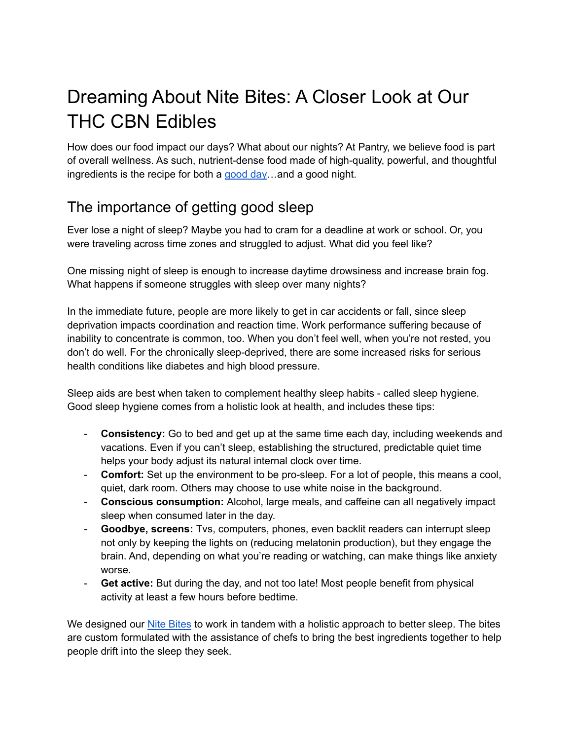# Dreaming About Nite Bites: A Closer Look at Our THC CBN Edibles

How does our food impact our days? What about our nights? At Pantry, we believe food is part of overall wellness. As such, nutrient-dense food made of high-quality, powerful, and thoughtful ingredients is the recipe for both a [good](https://pantryfoodco.com/blogs/news/introducing-good-bites)  $day$ ... and a good night.

## The importance of getting good sleep

Ever lose a night of sleep? Maybe you had to cram for a deadline at work or school. Or, you were traveling across time zones and struggled to adjust. What did you feel like?

One missing night of sleep is enough to increase daytime drowsiness and increase brain fog. What happens if someone struggles with sleep over many nights?

In the immediate future, people are more likely to get in car accidents or fall, since sleep deprivation impacts coordination and reaction time. Work performance suffering because of inability to concentrate is common, too. When you don't feel well, when you're not rested, you don't do well. For the chronically sleep-deprived, there are some increased risks for serious health conditions like diabetes and high blood pressure.

Sleep aids are best when taken to complement healthy sleep habits - called sleep hygiene. Good sleep hygiene comes from a holistic look at health, and includes these tips:

- **Consistency:** Go to bed and get up at the same time each day, including weekends and vacations. Even if you can't sleep, establishing the structured, predictable quiet time helps your body adjust its natural internal clock over time.
- **Comfort:** Set up the environment to be pro-sleep. For a lot of people, this means a cool, quiet, dark room. Others may choose to use white noise in the background.
- **Conscious consumption:** Alcohol, large meals, and caffeine can all negatively impact sleep when consumed later in the day.
- **Goodbye, screens:** Tvs, computers, phones, even backlit readers can interrupt sleep not only by keeping the lights on (reducing melatonin production), but they engage the brain. And, depending on what you're reading or watching, can make things like anxiety worse.
- **Get active:** But during the day, and not too late! Most people benefit from physical activity at least a few hours before bedtime.

We designed our Nite [Bites](https://pantryfoodco.com/pages/nite-bites) to work in tandem with a holistic approach to better sleep. The bites are custom formulated with the assistance of chefs to bring the best ingredients together to help people drift into the sleep they seek.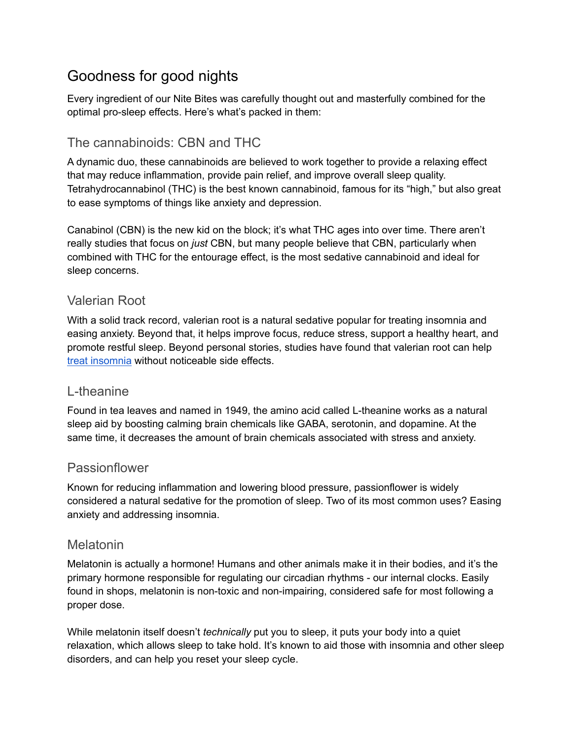### Goodness for good nights

Every ingredient of our Nite Bites was carefully thought out and masterfully combined for the optimal pro-sleep effects. Here's what's packed in them:

### The cannabinoids: CBN and THC

A dynamic duo, these cannabinoids are believed to work together to provide a relaxing effect that may reduce inflammation, provide pain relief, and improve overall sleep quality. Tetrahydrocannabinol (THC) is the best known cannabinoid, famous for its "high," but also great to ease symptoms of things like anxiety and depression.

Canabinol (CBN) is the new kid on the block; it's what THC ages into over time. There aren't really studies that focus on *just* CBN, but many people believe that CBN, particularly when combined with THC for the entourage effect, is the most sedative cannabinoid and ideal for sleep concerns.

#### Valerian Root

With a solid track record, valerian root is a natural sedative popular for treating insomnia and easing anxiety. Beyond that, it helps improve focus, reduce stress, support a healthy heart, and promote restful sleep. Beyond personal stories, studies have found that valerian root can help treat [insomnia](https://www.ncbi.nlm.nih.gov/pmc/articles/PMC4394901/) without noticeable side effects.

#### L-theanine

Found in tea leaves and named in 1949, the amino acid called L-theanine works as a natural sleep aid by boosting calming brain chemicals like GABA, serotonin, and dopamine. At the same time, it decreases the amount of brain chemicals associated with stress and anxiety.

#### Passionflower

Known for reducing inflammation and lowering blood pressure, passionflower is widely considered a natural sedative for the promotion of sleep. Two of its most common uses? Easing anxiety and addressing insomnia.

#### Melatonin

Melatonin is actually a hormone! Humans and other animals make it in their bodies, and it's the primary hormone responsible for regulating our circadian rhythms - our internal clocks. Easily found in shops, melatonin is non-toxic and non-impairing, considered safe for most following a proper dose.

While melatonin itself doesn't *technically* put you to sleep, it puts your body into a quiet relaxation, which allows sleep to take hold. It's known to aid those with insomnia and other sleep disorders, and can help you reset your sleep cycle.